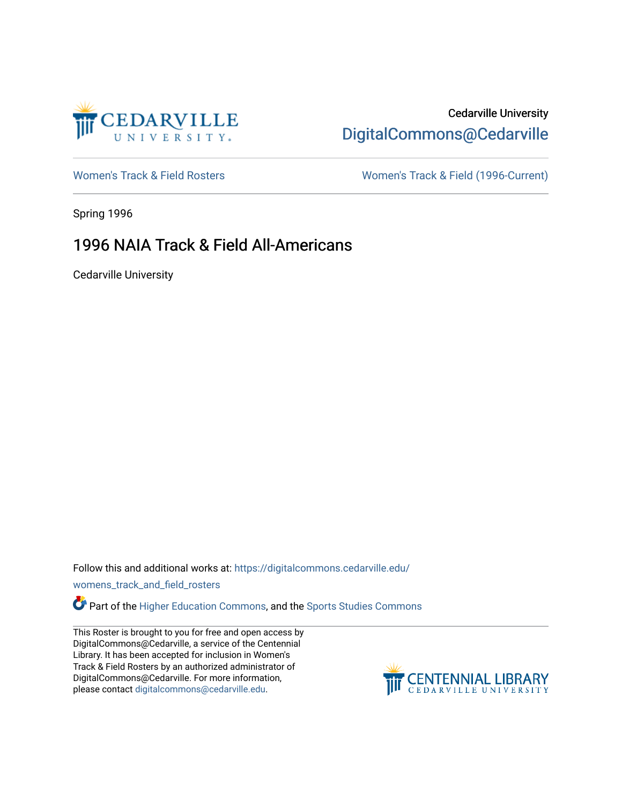

## Cedarville University [DigitalCommons@Cedarville](https://digitalcommons.cedarville.edu/)

[Women's Track & Field Rosters](https://digitalcommons.cedarville.edu/womens_track_and_field_rosters) Women's Track & Field (1996-Current)

Spring 1996

## 1996 NAIA Track & Field All-Americans

Cedarville University

Follow this and additional works at: [https://digitalcommons.cedarville.edu/](https://digitalcommons.cedarville.edu/womens_track_and_field_rosters?utm_source=digitalcommons.cedarville.edu%2Fwomens_track_and_field_rosters%2F15&utm_medium=PDF&utm_campaign=PDFCoverPages)

[womens\\_track\\_and\\_field\\_rosters](https://digitalcommons.cedarville.edu/womens_track_and_field_rosters?utm_source=digitalcommons.cedarville.edu%2Fwomens_track_and_field_rosters%2F15&utm_medium=PDF&utm_campaign=PDFCoverPages) 

**C** Part of the [Higher Education Commons,](http://network.bepress.com/hgg/discipline/1245?utm_source=digitalcommons.cedarville.edu%2Fwomens_track_and_field_rosters%2F15&utm_medium=PDF&utm_campaign=PDFCoverPages) and the Sports Studies Commons

This Roster is brought to you for free and open access by DigitalCommons@Cedarville, a service of the Centennial Library. It has been accepted for inclusion in Women's Track & Field Rosters by an authorized administrator of DigitalCommons@Cedarville. For more information, please contact [digitalcommons@cedarville.edu](mailto:digitalcommons@cedarville.edu).